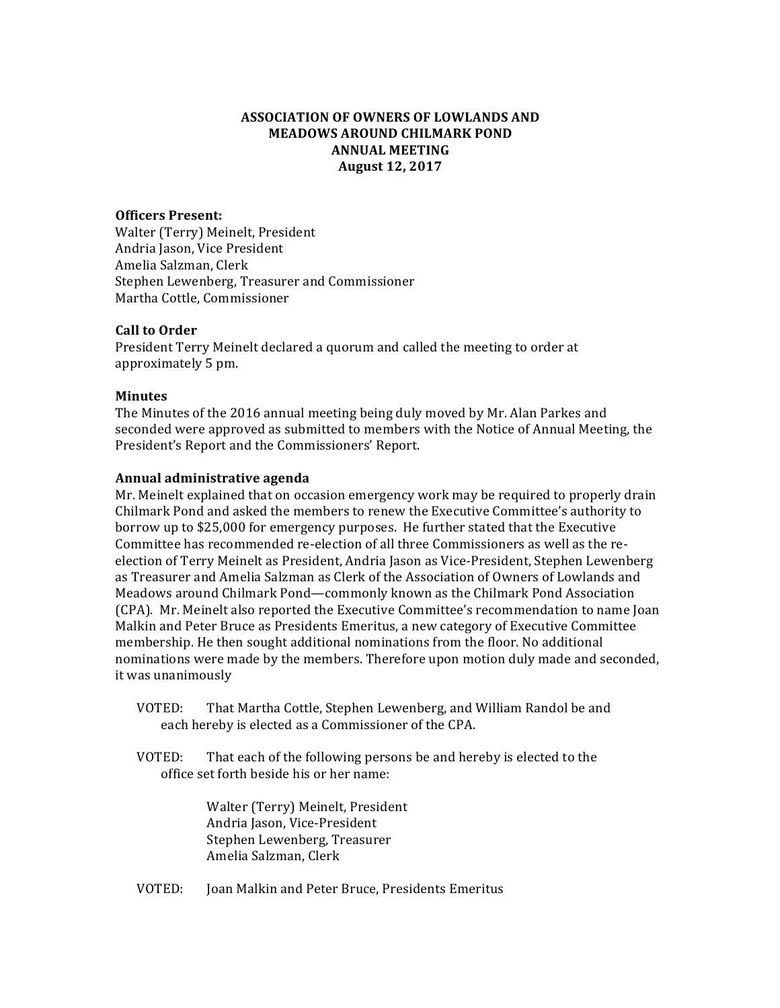## **ASSOCIATION OF OWNERS OF LOWLANDS AND MEADOWS AROUND CHILMARK POND ANNUAL MEETING August 12, 2017**

#### **Officers Present:**

Walter (Terry) Meinelt, President Andria Jason, Vice President Amelia Salzman, Clerk Stephen Lewenberg, Treasurer and Commissioner Martha Cottle, Commissioner

#### **Call to Order**

President Terry Meinelt declared a quorum and called the meeting to order at approximately 5 pm.

#### **Minutes**

The Minutes of the 2016 annual meeting being duly moved by Mr. Alan Parkes and seconded were approved as submitted to members with the Notice of Annual Meeting, the President's Report and the Commissioners' Report.

#### **Annual administrative agenda**

Mr. Meinelt explained that on occasion emergency work may be required to properly drain Chilmark Pond and asked the members to renew the Executive Committee's authority to borrow up to \$25,000 for emergency purposes. He further stated that the Executive Committee has recommended re-election of all three Commissioners as well as the reelection of Terry Meinelt as President, Andria Jason as Vice-President, Stephen Lewenberg as Treasurer and Amelia Salzman as Clerk of the Association of Owners of Lowlands and Meadows around Chilmark Pond—commonly known as the Chilmark Pond Association (CPA). Mr. Meinelt also reported the Executive Committee's recommendation to name Joan Malkin and Peter Bruce as Presidents Emeritus, a new category of Executive Committee membership. He then sought additional nominations from the floor. No additional nominations were made by the members. Therefore upon motion duly made and seconded, it was unanimously

- VOTED: That Martha Cottle, Stephen Lewenberg, and William Randol be and each hereby is elected as a Commissioner of the CPA.
- VOTED: That each of the following persons be and hereby is elected to the office set forth beside his or her name:

Walter (Terry) Meinelt, President Andria Jason, Vice-President Stephen Lewenberg, Treasurer Amelia Salzman, Clerk

VOTED: Joan Malkin and Peter Bruce, Presidents Emeritus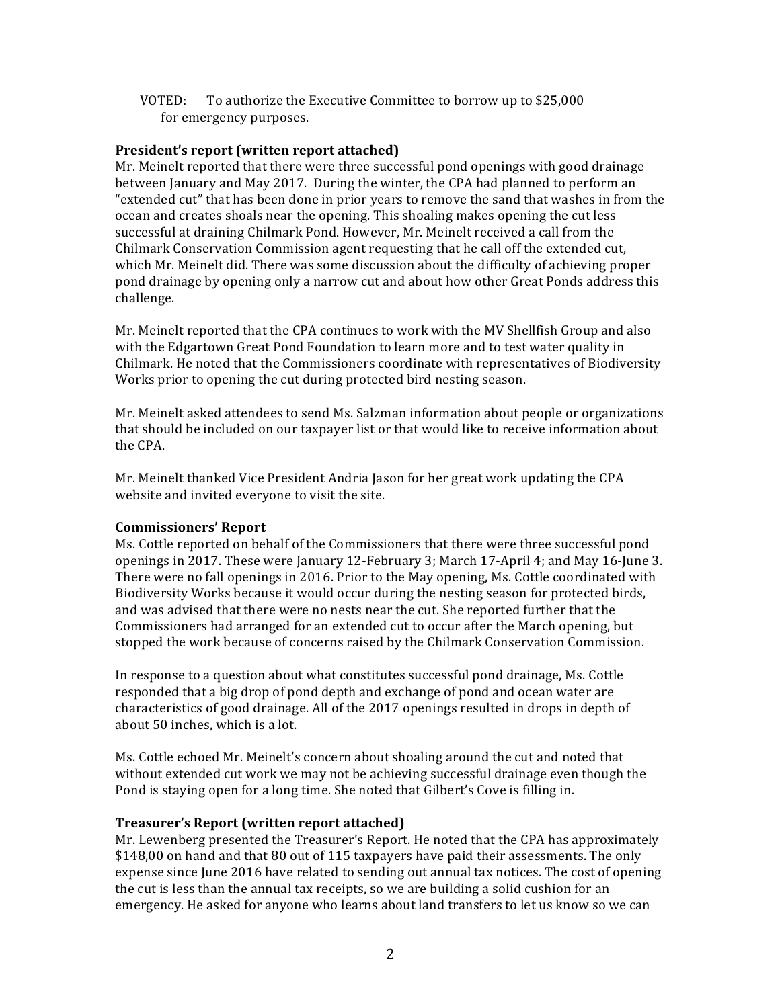**VOTED:** To authorize the Executive Committee to borrow up to \$25,000 for emergency purposes.

## **President's report (written report attached)**

Mr. Meinelt reported that there were three successful pond openings with good drainage between January and May 2017. During the winter, the CPA had planned to perform an "extended cut" that has been done in prior years to remove the sand that washes in from the ocean and creates shoals near the opening. This shoaling makes opening the cut less successful at draining Chilmark Pond. However, Mr. Meinelt received a call from the Chilmark Conservation Commission agent requesting that he call off the extended cut. which Mr. Meinelt did. There was some discussion about the difficulty of achieving proper pond drainage by opening only a narrow cut and about how other Great Ponds address this challenge.

Mr. Meinelt reported that the CPA continues to work with the MV Shellfish Group and also with the Edgartown Great Pond Foundation to learn more and to test water quality in Chilmark. He noted that the Commissioners coordinate with representatives of Biodiversity Works prior to opening the cut during protected bird nesting season.

Mr. Meinelt asked attendees to send Ms. Salzman information about people or organizations that should be included on our taxpayer list or that would like to receive information about the CPA.

Mr. Meinelt thanked Vice President Andria Jason for her great work updating the CPA website and invited everyone to visit the site.

## **Commissioners' Report**

Ms. Cottle reported on behalf of the Commissioners that there were three successful pond openings in 2017. These were January 12-February 3; March 17-April 4; and May 16-June 3. There were no fall openings in 2016. Prior to the May opening, Ms. Cottle coordinated with Biodiversity Works because it would occur during the nesting season for protected birds, and was advised that there were no nests near the cut. She reported further that the Commissioners had arranged for an extended cut to occur after the March opening, but stopped the work because of concerns raised by the Chilmark Conservation Commission.

In response to a question about what constitutes successful pond drainage, Ms. Cottle responded that a big drop of pond depth and exchange of pond and ocean water are characteristics of good drainage. All of the 2017 openings resulted in drops in depth of about 50 inches, which is a lot.

Ms. Cottle echoed Mr. Meinelt's concern about shoaling around the cut and noted that without extended cut work we may not be achieving successful drainage even though the Pond is staying open for a long time. She noted that Gilbert's Cove is filling in.

# **Treasurer's Report (written report attached)**

Mr. Lewenberg presented the Treasurer's Report. He noted that the CPA has approximately \$148,00 on hand and that 80 out of 115 taxpayers have paid their assessments. The only expense since June 2016 have related to sending out annual tax notices. The cost of opening the cut is less than the annual tax receipts, so we are building a solid cushion for an emergency. He asked for anyone who learns about land transfers to let us know so we can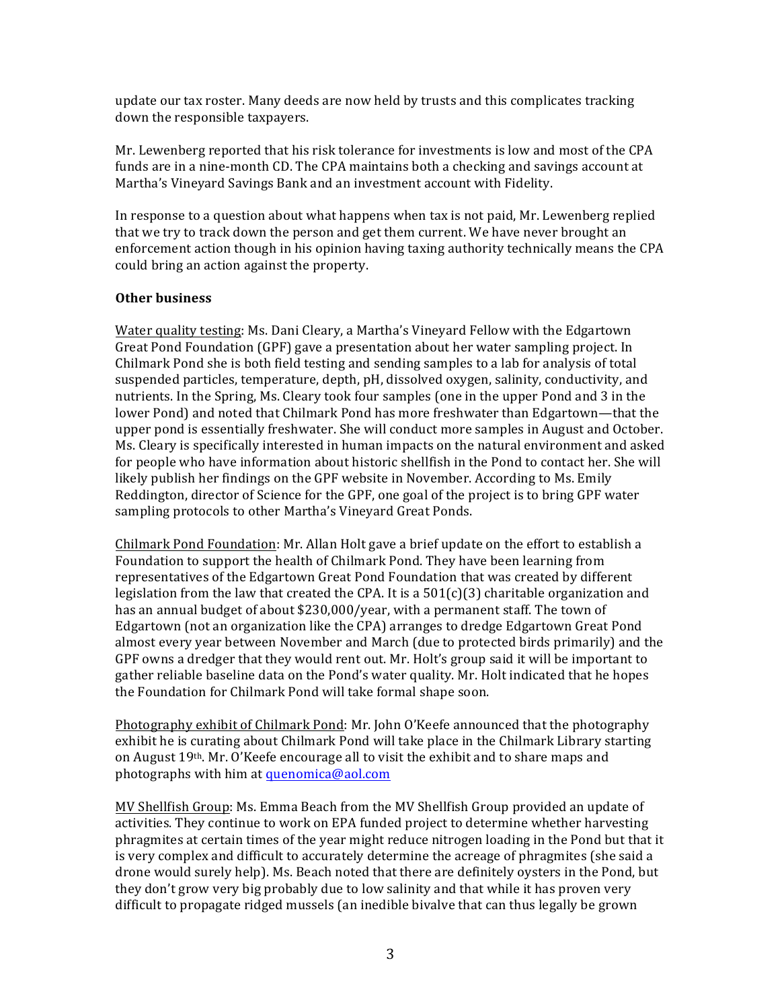update our tax roster. Many deeds are now held by trusts and this complicates tracking down the responsible taxpayers.

Mr. Lewenberg reported that his risk tolerance for investments is low and most of the CPA funds are in a nine-month CD. The CPA maintains both a checking and savings account at Martha's Vineyard Savings Bank and an investment account with Fidelity.

In response to a question about what happens when tax is not paid, Mr. Lewenberg replied that we try to track down the person and get them current. We have never brought an enforcement action though in his opinion having taxing authority technically means the CPA could bring an action against the property.

## **Other business**

Water quality testing: Ms. Dani Cleary, a Martha's Vineyard Fellow with the Edgartown Great Pond Foundation (GPF) gave a presentation about her water sampling project. In Chilmark Pond she is both field testing and sending samples to a lab for analysis of total suspended particles, temperature, depth, pH, dissolved oxygen, salinity, conductivity, and nutrients. In the Spring, Ms. Cleary took four samples (one in the upper Pond and 3 in the lower Pond) and noted that Chilmark Pond has more freshwater than Edgartown—that the upper pond is essentially freshwater. She will conduct more samples in August and October. Ms. Cleary is specifically interested in human impacts on the natural environment and asked for people who have information about historic shellfish in the Pond to contact her. She will likely publish her findings on the GPF website in November. According to Ms. Emily Reddington, director of Science for the GPF, one goal of the project is to bring GPF water sampling protocols to other Martha's Vineyard Great Ponds.

Chilmark Pond Foundation: Mr. Allan Holt gave a brief update on the effort to establish a Foundation to support the health of Chilmark Pond. They have been learning from representatives of the Edgartown Great Pond Foundation that was created by different legislation from the law that created the CPA. It is a  $501(c)(3)$  charitable organization and has an annual budget of about \$230,000/year, with a permanent staff. The town of Edgartown (not an organization like the CPA) arranges to dredge Edgartown Great Pond almost every year between November and March (due to protected birds primarily) and the GPF owns a dredger that they would rent out. Mr. Holt's group said it will be important to gather reliable baseline data on the Pond's water quality. Mr. Holt indicated that he hopes the Foundation for Chilmark Pond will take formal shape soon.

Photography exhibit of Chilmark Pond: Mr. John O'Keefe announced that the photography exhibit he is curating about Chilmark Pond will take place in the Chilmark Library starting on August  $19<sup>th</sup>$ . Mr. O'Keefe encourage all to visit the exhibit and to share maps and photographs with him at quenomica@aol.com

MV Shellfish Group: Ms. Emma Beach from the MV Shellfish Group provided an update of activities. They continue to work on EPA funded project to determine whether harvesting phragmites at certain times of the year might reduce nitrogen loading in the Pond but that it is very complex and difficult to accurately determine the acreage of phragmites (she said a drone would surely help). Ms. Beach noted that there are definitely oysters in the Pond, but they don't grow very big probably due to low salinity and that while it has proven very difficult to propagate ridged mussels (an inedible bivalve that can thus legally be grown